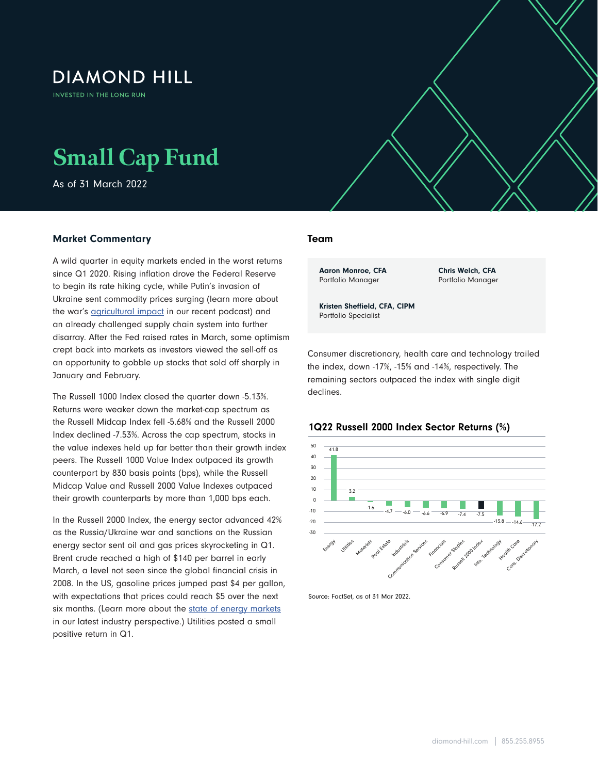# **DIAMOND HILL**

**INVESTED IN THE LONG RUN** 

# **Small Cap Fund**

As of 31 March 2022

## Market Commentary

A wild quarter in equity markets ended in the worst returns since Q1 2020. Rising inflation drove the Federal Reserve to begin its rate hiking cycle, while Putin's invasion of Ukraine sent commodity prices surging (learn more about the war's **agricultural impact** in our recent podcast) and an already challenged supply chain system into further disarray. After the Fed raised rates in March, some optimism crept back into markets as investors viewed the sell-off as an opportunity to gobble up stocks that sold off sharply in January and February.

The Russell 1000 Index closed the quarter down -5.13%. Returns were weaker down the market-cap spectrum as the Russell Midcap Index fell -5.68% and the Russell 2000 Index declined -7.53%. Across the cap spectrum, stocks in the value indexes held up far better than their growth index peers. The Russell 1000 Value Index outpaced its growth counterpart by 830 basis points (bps), while the Russell Midcap Value and Russell 2000 Value Indexes outpaced their growth counterparts by more than 1,000 bps each.

In the Russell 2000 Index, the energy sector advanced 42% as the Russia/Ukraine war and sanctions on the Russian energy sector sent oil and gas prices skyrocketing in Q1. Brent crude reached a high of \$140 per barrel in early March, a level not seen since the global financial crisis in 2008. In the US, gasoline prices jumped past \$4 per gallon, with expectations that prices could reach \$5 over the next six months. (Learn more about the [state of energy markets](https://www.diamond-hill.com/insights/a-400/geopolitics-the-state-of-energy-markets-today.fs) in our latest industry perspective.) Utilities posted a small positive return in Q1.

#### Team

 $\mathcal{S}_{\mathcal{A}}$  , and  $\mathcal{A}_{\mathcal{A}}$  as of 31 March 2022  $\mathcal{A}_{\mathcal{A}}$ 

Aaron Monroe, CFA Portfolio Manager

Chris Welch, CFA Portfolio Manager

Kristen Sheffield, CFA, CIPM Portfolio Specialist

Consumer discretionary, health care and technology trailed the index, down -17%, -15% and -14%, respectively. The remaining sectors outpaced the index with single digit declines.



1Q22 Russell 2000 Index Sector Returns (%)

Source: FactSet, as of 31 Mar 2022.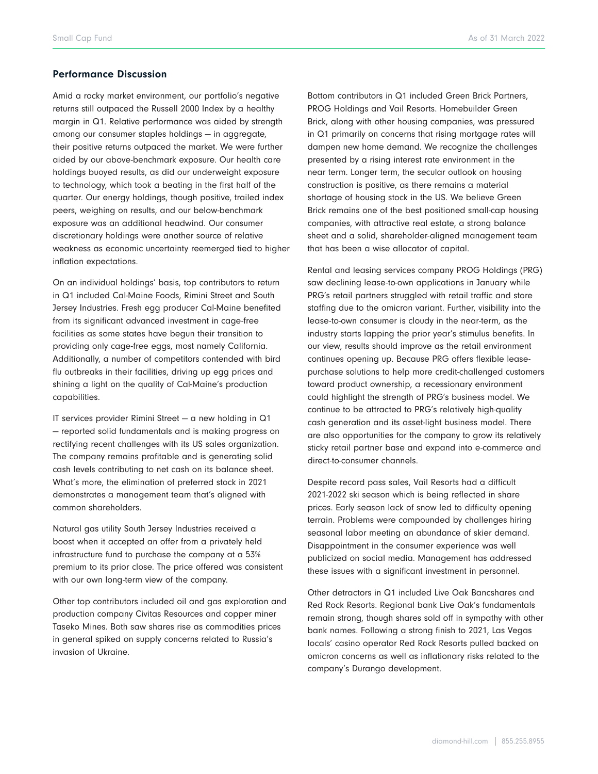#### Performance Discussion

Amid a rocky market environment, our portfolio's negative returns still outpaced the Russell 2000 Index by a healthy margin in Q1. Relative performance was aided by strength among our consumer staples holdings — in aggregate, their positive returns outpaced the market. We were further aided by our above-benchmark exposure. Our health care holdings buoyed results, as did our underweight exposure to technology, which took a beating in the first half of the quarter. Our energy holdings, though positive, trailed index peers, weighing on results, and our below-benchmark exposure was an additional headwind. Our consumer discretionary holdings were another source of relative weakness as economic uncertainty reemerged tied to higher inflation expectations.

On an individual holdings' basis, top contributors to return in Q1 included Cal-Maine Foods, Rimini Street and South Jersey Industries. Fresh egg producer Cal-Maine benefited from its significant advanced investment in cage-free facilities as some states have begun their transition to providing only cage-free eggs, most namely California. Additionally, a number of competitors contended with bird flu outbreaks in their facilities, driving up egg prices and shining a light on the quality of Cal-Maine's production capabilities.

IT services provider Rimini Street — a new holding in Q1 — reported solid fundamentals and is making progress on rectifying recent challenges with its US sales organization. The company remains profitable and is generating solid cash levels contributing to net cash on its balance sheet. What's more, the elimination of preferred stock in 2021 demonstrates a management team that's aligned with common shareholders.

Natural gas utility South Jersey Industries received a boost when it accepted an offer from a privately held infrastructure fund to purchase the company at a 53% premium to its prior close. The price offered was consistent with our own long-term view of the company.

Other top contributors included oil and gas exploration and production company Civitas Resources and copper miner Taseko Mines. Both saw shares rise as commodities prices in general spiked on supply concerns related to Russia's invasion of Ukraine.

Bottom contributors in Q1 included Green Brick Partners, PROG Holdings and Vail Resorts. Homebuilder Green Brick, along with other housing companies, was pressured in Q1 primarily on concerns that rising mortgage rates will dampen new home demand. We recognize the challenges presented by a rising interest rate environment in the near term. Longer term, the secular outlook on housing construction is positive, as there remains a material shortage of housing stock in the US. We believe Green Brick remains one of the best positioned small-cap housing companies, with attractive real estate, a strong balance sheet and a solid, shareholder-aligned management team that has been a wise allocator of capital.

Rental and leasing services company PROG Holdings (PRG) saw declining lease-to-own applications in January while PRG's retail partners struggled with retail traffic and store staffing due to the omicron variant. Further, visibility into the lease-to-own consumer is cloudy in the near-term, as the industry starts lapping the prior year's stimulus benefits. In our view, results should improve as the retail environment continues opening up. Because PRG offers flexible leasepurchase solutions to help more credit-challenged customers toward product ownership, a recessionary environment could highlight the strength of PRG's business model. We continue to be attracted to PRG's relatively high-quality cash generation and its asset-light business model. There are also opportunities for the company to grow its relatively sticky retail partner base and expand into e-commerce and direct-to-consumer channels.

Despite record pass sales, Vail Resorts had a difficult 2021-2022 ski season which is being reflected in share prices. Early season lack of snow led to difficulty opening terrain. Problems were compounded by challenges hiring seasonal labor meeting an abundance of skier demand. Disappointment in the consumer experience was well publicized on social media. Management has addressed these issues with a significant investment in personnel.

Other detractors in Q1 included Live Oak Bancshares and Red Rock Resorts. Regional bank Live Oak's fundamentals remain strong, though shares sold off in sympathy with other bank names. Following a strong finish to 2021, Las Vegas locals' casino operator Red Rock Resorts pulled backed on omicron concerns as well as inflationary risks related to the company's Durango development.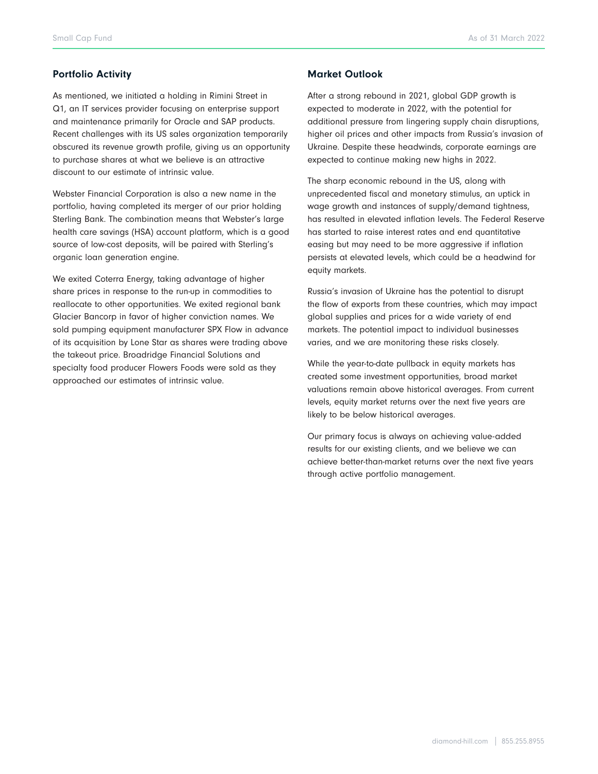### Portfolio Activity

As mentioned, we initiated a holding in Rimini Street in Q1, an IT services provider focusing on enterprise support and maintenance primarily for Oracle and SAP products. Recent challenges with its US sales organization temporarily obscured its revenue growth profile, giving us an opportunity to purchase shares at what we believe is an attractive discount to our estimate of intrinsic value.

Webster Financial Corporation is also a new name in the portfolio, having completed its merger of our prior holding Sterling Bank. The combination means that Webster's large health care savings (HSA) account platform, which is a good source of low-cost deposits, will be paired with Sterling's organic loan generation engine.

We exited Coterra Energy, taking advantage of higher share prices in response to the run-up in commodities to reallocate to other opportunities. We exited regional bank Glacier Bancorp in favor of higher conviction names. We sold pumping equipment manufacturer SPX Flow in advance of its acquisition by Lone Star as shares were trading above the takeout price. Broadridge Financial Solutions and specialty food producer Flowers Foods were sold as they approached our estimates of intrinsic value.

#### Market Outlook

After a strong rebound in 2021, global GDP growth is expected to moderate in 2022, with the potential for additional pressure from lingering supply chain disruptions, higher oil prices and other impacts from Russia's invasion of Ukraine. Despite these headwinds, corporate earnings are expected to continue making new highs in 2022.

The sharp economic rebound in the US, along with unprecedented fiscal and monetary stimulus, an uptick in wage growth and instances of supply/demand tightness, has resulted in elevated inflation levels. The Federal Reserve has started to raise interest rates and end quantitative easing but may need to be more aggressive if inflation persists at elevated levels, which could be a headwind for equity markets.

Russia's invasion of Ukraine has the potential to disrupt the flow of exports from these countries, which may impact global supplies and prices for a wide variety of end markets. The potential impact to individual businesses varies, and we are monitoring these risks closely.

While the year-to-date pullback in equity markets has created some investment opportunities, broad market valuations remain above historical averages. From current levels, equity market returns over the next five years are likely to be below historical averages.

Our primary focus is always on achieving value-added results for our existing clients, and we believe we can achieve better-than-market returns over the next five years through active portfolio management.